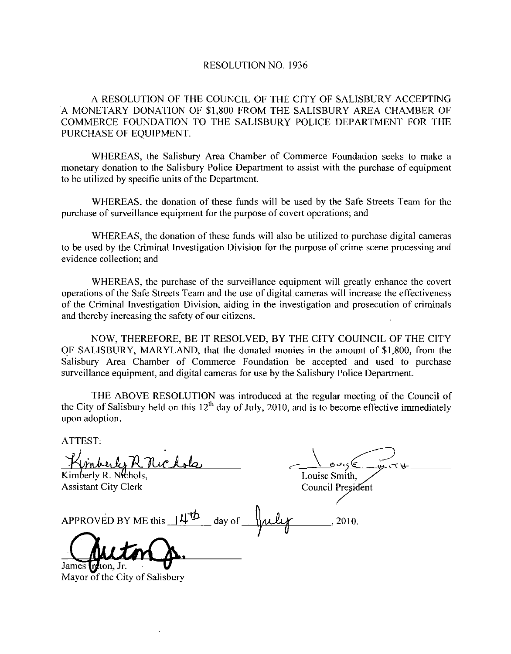## RESOLUTION NO. 1936

<sup>A</sup> RESOLUTION OF 1HE COUNCIL OF THE CITY OF SALISBURY ACCEPTING A MONETARY DONATION OF \$1,800 FROM THE SALISBURY AREA CHAMBER OF COMMERCE FOUNDATION TO THE SALISBURY POLICE DEPARTMENT FOR THE PURCHASE OF EQUIPMENT.

WHEREAS, the Salisbury Area Chamber of Commerce Foundation seeks to make a monetary donation to the Salisbury Police Department to assist with the purchase of equipment to be utilized by specific units of the Department.

WHEREAS the donation of these funds will be used by the Safe Streets Team for the purchase of surveillance equipment for the purpose of covert operations; and

WHEREAS the donation of these funds will also be utilized to purchase digital cameras to be used by the Criminal Investigation Division for the purpose of crime scene processing and evidence collection; and

WHEREAS, the purchase of the surveillance equipment will greatly enhance the covert operations of the Safe Streets Team and the use of digital cameras will increase the effectiveness of the Criminal Investigation Division aiding in the investigation and prosecution of criminals and thereby increasing the safety of our citizens

NOW, THEREFORE, BE IT RESOLVED, BY THE CITY COUINCIL OF THE CITY OF SALISBURY, MARYLAND, that the donated monies in the amount of \$1,800, from the Salisbury Area Chamber of Commerce Foundation be accepted and used to purchase surveillance equipment, and digital cameras for use by the Salisbury Police Department.

THE ABOVE RESOLUTION was introduced at the regular meeting of the Council of the City of Salisbury held on this 12<sup>th</sup> day of July, 2010, and is to become effective immediately upon adoption

ATTEST

RE A RESOLUTION OF THE CONDETARY DONATION OF SI<br>COMMERCE FOUNDATION TO 1<br>PURCHASE OF EQUIPMENT.<br>WHEREAS, the Salisbury Amonotary donation to the Salisbury Protocol and<br>monetary donation to the Salisbury Protocol in the Co  $\begin{array}{c}\n\bigcup_{\substack{\sigma,\sigma,\sigma'\in\mathcal{L}^{\sigma}\\ \text{Louises Smith},\\ \text{Counticil President}\n\end{array}}$ u ve H Kimberly R. Nichols, Louise Smith,<br>Council President Assistant City Clerk APPROVED BY ME this  $14^{12}$  day of  $\mu\mu$   $\mu$ , 2010. James **Tratton** Jr. Mayor of the City of Salisbury